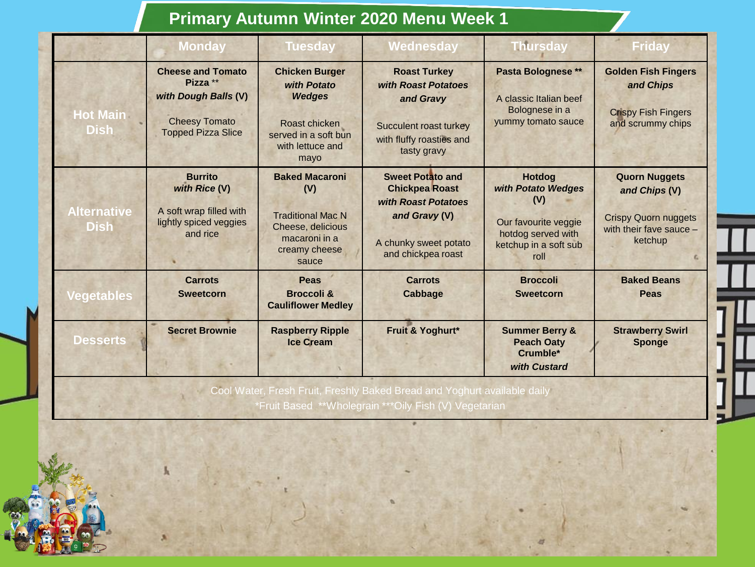## **Primary Autumn Winter 2020 Menu Week 1**

|                                   | <b>Monday</b>                                                                                                     | <b>Tuesday</b>                                                                                                             | Wednesday                                                                                                                               | <b>Thursday</b>                                                                                                           | <b>Friday</b>                                                                                              |
|-----------------------------------|-------------------------------------------------------------------------------------------------------------------|----------------------------------------------------------------------------------------------------------------------------|-----------------------------------------------------------------------------------------------------------------------------------------|---------------------------------------------------------------------------------------------------------------------------|------------------------------------------------------------------------------------------------------------|
| <b>Hot Main</b><br><b>Dish</b>    | <b>Cheese and Tomato</b><br>Pizza **<br>with Dough Balls (V)<br><b>Cheesy Tomato</b><br><b>Topped Pizza Slice</b> | <b>Chicken Burger</b><br>with Potato<br><b>Wedges</b><br>Roast chicken<br>served in a soft bun<br>with lettuce and<br>mayo | <b>Roast Turkey</b><br>with Roast Potatoes<br>and Gravy<br>Succulent roast turkey<br>with fluffy roasties and<br>tasty gravy            | Pasta Bolognese **<br>A classic Italian beef<br>Bolognese in a<br>yummy tomato sauce                                      | <b>Golden Fish Fingers</b><br>and Chips<br><b>Crispy Fish Fingers</b><br>and scrummy chips                 |
| <b>Alternative</b><br><b>Dish</b> | <b>Burrito</b><br>with Rice (V)<br>A soft wrap filled with<br>lightly spiced veggies<br>and rice                  | <b>Baked Macaroni</b><br>(V)<br><b>Traditional Mac N</b><br>Cheese, delicious<br>macaroni in a<br>creamy cheese<br>sauce   | <b>Sweet Potato and</b><br><b>Chickpea Roast</b><br>with Roast Potatoes<br>and Gravy (V)<br>A chunky sweet potato<br>and chickpea roast | <b>Hotdog</b><br>with Potato Wedges<br>(V)<br>Our favourite veggie<br>hotdog served with<br>ketchup in a soft sub<br>roll | <b>Quorn Nuggets</b><br>and Chips (V)<br><b>Crispy Quorn nuggets</b><br>with their fave sauce -<br>ketchup |
| <b>Vegetables</b>                 | <b>Carrots</b><br><b>Sweetcorn</b>                                                                                | <b>Peas</b><br><b>Broccoli &amp;</b><br><b>Cauliflower Medley</b>                                                          | <b>Carrots</b><br><b>Cabbage</b>                                                                                                        | <b>Broccoli</b><br><b>Sweetcorn</b>                                                                                       | <b>Baked Beans</b><br>Peas                                                                                 |
| <b>Desserts</b>                   | <b>Secret Brownie</b>                                                                                             | <b>Raspberry Ripple</b><br><b>Ice Cream</b>                                                                                | Fruit & Yoghurt*                                                                                                                        | <b>Summer Berry &amp;</b><br><b>Peach Oaty</b><br>Crumble*<br>with Custard                                                | <b>Strawberry Swirl</b><br><b>Sponge</b>                                                                   |

er, Fresh Fruit, Freshly Baked Bread and Yoghurt available daily \*Fruit Based \*\*Wholegrain \*\*\*Oily Fish (V) Vegetarian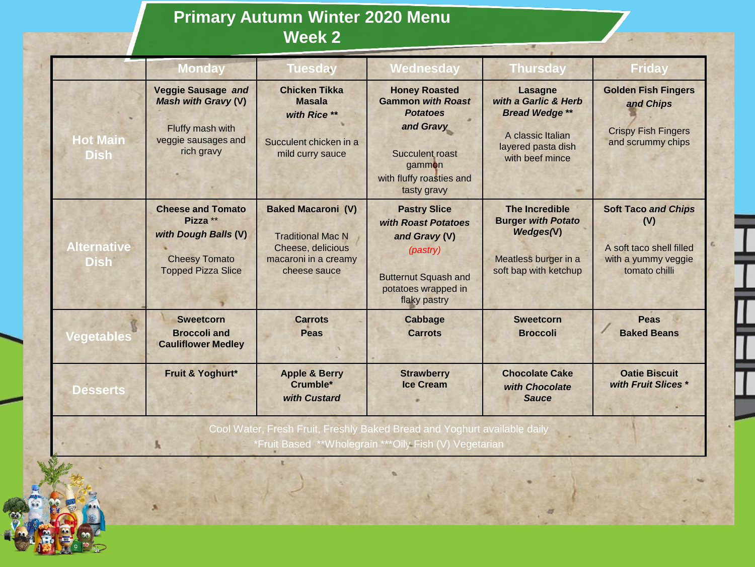## **Primary Autumn Winter 2020 Menu Week 2**

|                                                                          | <b>Monday</b>                                                                                                     | <b>Tuesday</b>                                                                                                     | <b>Wednesday</b>                                                                                                                                         | <b>Thursday</b>                                                                                                               | <b>Friday</b>                                                                                         |  |
|--------------------------------------------------------------------------|-------------------------------------------------------------------------------------------------------------------|--------------------------------------------------------------------------------------------------------------------|----------------------------------------------------------------------------------------------------------------------------------------------------------|-------------------------------------------------------------------------------------------------------------------------------|-------------------------------------------------------------------------------------------------------|--|
| <b>Hot Main</b><br><b>Dish</b>                                           | <b>Veggie Sausage and</b><br><b>Mash with Gravy (V)</b><br>Fluffy mash with<br>veggie sausages and<br>rich gravy  | <b>Chicken Tikka</b><br><b>Masala</b><br>with Rice **<br>Succulent chicken in a<br>mild curry sauce                | <b>Honey Roasted</b><br><b>Gammon with Roast</b><br><b>Potatoes</b><br>and Gravy<br>Succulent roast<br>gammon<br>with fluffy roasties and<br>tasty gravy | <b>Lasagne</b><br>with a Garlic & Herb<br><b>Bread Wedge **</b><br>A classic Italian<br>layered pasta dish<br>with beef mince | <b>Golden Fish Fingers</b><br>and Chips<br><b>Crispy Fish Fingers</b><br>and scrummy chips            |  |
| <b>Alternative</b><br><b>Dish</b>                                        | <b>Cheese and Tomato</b><br>Pizza **<br>with Dough Balls (V)<br><b>Cheesy Tomato</b><br><b>Topped Pizza Slice</b> | <b>Baked Macaroni (V)</b><br><b>Traditional Mac N</b><br>Cheese, delicious<br>macaroni in a creamy<br>cheese sauce | <b>Pastry Slice</b><br>with Roast Potatoes<br>and Gravy (V)<br>(pastry)<br><b>Butternut Squash and</b><br>potatoes wrapped in<br>flaky pastry            | <b>The Incredible</b><br><b>Burger with Potato</b><br>Wedges(V)<br>Meatless burger in a<br>soft bap with ketchup              | <b>Soft Taco and Chips</b><br>(V)<br>A soft taco shell filled<br>with a yummy veggie<br>tomato chilli |  |
| Vegetables                                                               | <b>Sweetcorn</b><br><b>Broccoli</b> and<br><b>Cauliflower Medley</b>                                              | <b>Carrots</b><br>Peas                                                                                             | <b>Cabbage</b><br><b>Carrots</b>                                                                                                                         | <b>Sweetcorn</b><br><b>Broccoli</b>                                                                                           | <b>Peas</b><br><b>Baked Beans</b>                                                                     |  |
| <b>Desserts</b>                                                          | Fruit & Yoghurt*                                                                                                  | <b>Apple &amp; Berry</b><br>Crumble*<br>with Custard                                                               | <b>Strawberry</b><br><b>Ice Cream</b>                                                                                                                    | <b>Chocolate Cake</b><br>with Chocolate<br><b>Sauce</b>                                                                       | <b>Oatie Biscuit</b><br>with Fruit Slices *                                                           |  |
| Cool Water, Fresh Fruit, Freshly Baked Bread and Yoghurt available daily |                                                                                                                   |                                                                                                                    |                                                                                                                                                          |                                                                                                                               |                                                                                                       |  |

\*Fruit Based \*\*Wholegrain \*\*\*Oily Fish (V) Vegetarian

ŧ

 $\mathbf{k}$